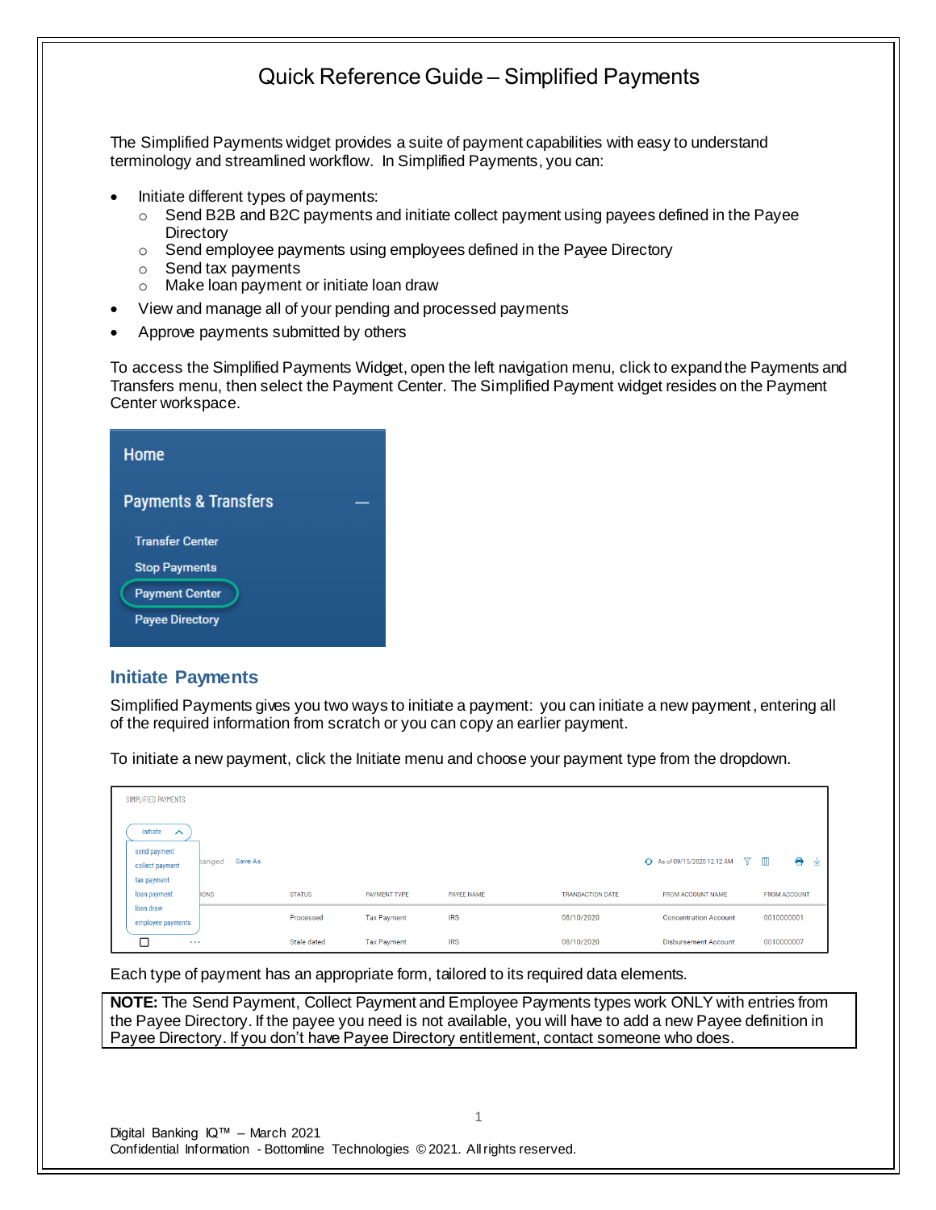The Simplified Payments widget provides a suite of payment capabilities with easy to understand terminology and streamlined workflow. In Simplified Payments, you can:

- Initiate different types of payments:
	- $\circ$  Send B2B and B2C payments and initiate collect payment using payees defined in the Payee **Directory**
	- o Send employee payments using employees defined in the Payee Directory
	- o Send tax payments
	- o Make loan payment or initiate loan draw
- View and manage all of your pending and processed payments
- Approve payments submitted by others

To access the Simplified Payments Widget, open the left navigation menu, click to expand the Payments and Transfers menu, then select the Payment Center. The Simplified Payment widget resides on the Payment Center workspace.

| Home                            |  |
|---------------------------------|--|
| <b>Payments &amp; Transfers</b> |  |
| <b>Transfer Center</b>          |  |
| <b>Stop Payments</b>            |  |
| <b>Payment Center</b>           |  |
| <b>Payee Directory</b>          |  |

### **Initiate Payments**

Simplified Payments gives you two ways to initiate a payment: you can initiate a new payment, entering all of the required information from scratch or you can copy an earlier payment.

To initiate a new payment, click the Initiate menu and choose your payment type from the dropdown.

| SIMPLIFIED PAYMENTS             |                   |               |                    |                   |                         |                                 |                     |
|---------------------------------|-------------------|---------------|--------------------|-------------------|-------------------------|---------------------------------|---------------------|
| Initiate<br>$\sim$              |                   |               |                    |                   |                         |                                 |                     |
| send payment<br>collect payment | Save As<br>hanged |               |                    |                   |                         | ← As of 09/15/2020 12:12 AM ▽ Ⅲ | e<br>⊻              |
| tax payment<br>loan payment     | <b>IONS</b>       | <b>STATUS</b> | PAYMENT TYPE       | <b>PAYEE NAME</b> | <b>TRANSACTION DATE</b> | FROM ACCOUNT NAME               | <b>FROM ACCOUNT</b> |
| loan draw<br>employee payments  |                   | Processed     | <b>Tax Payment</b> | <b>IRS</b>        | 08/10/2020              | <b>Concentration Account</b>    | 0010000001          |
| □<br>$\cdots$                   |                   | Stale dated   | <b>Tax Payment</b> | <b>IRS</b>        | 08/10/2020              | <b>Disbursement Account</b>     | 0010000007          |

Each type of payment has an appropriate form, tailored to its required data elements.

**NOTE:** The Send Payment, Collect Payment and Employee Payments types work ONLY with entries from the Payee Directory. If the payee you need is not available, you will have to add a new Payee definition in Payee Directory. If you don't have Payee Directory entitlement, contact someone who does.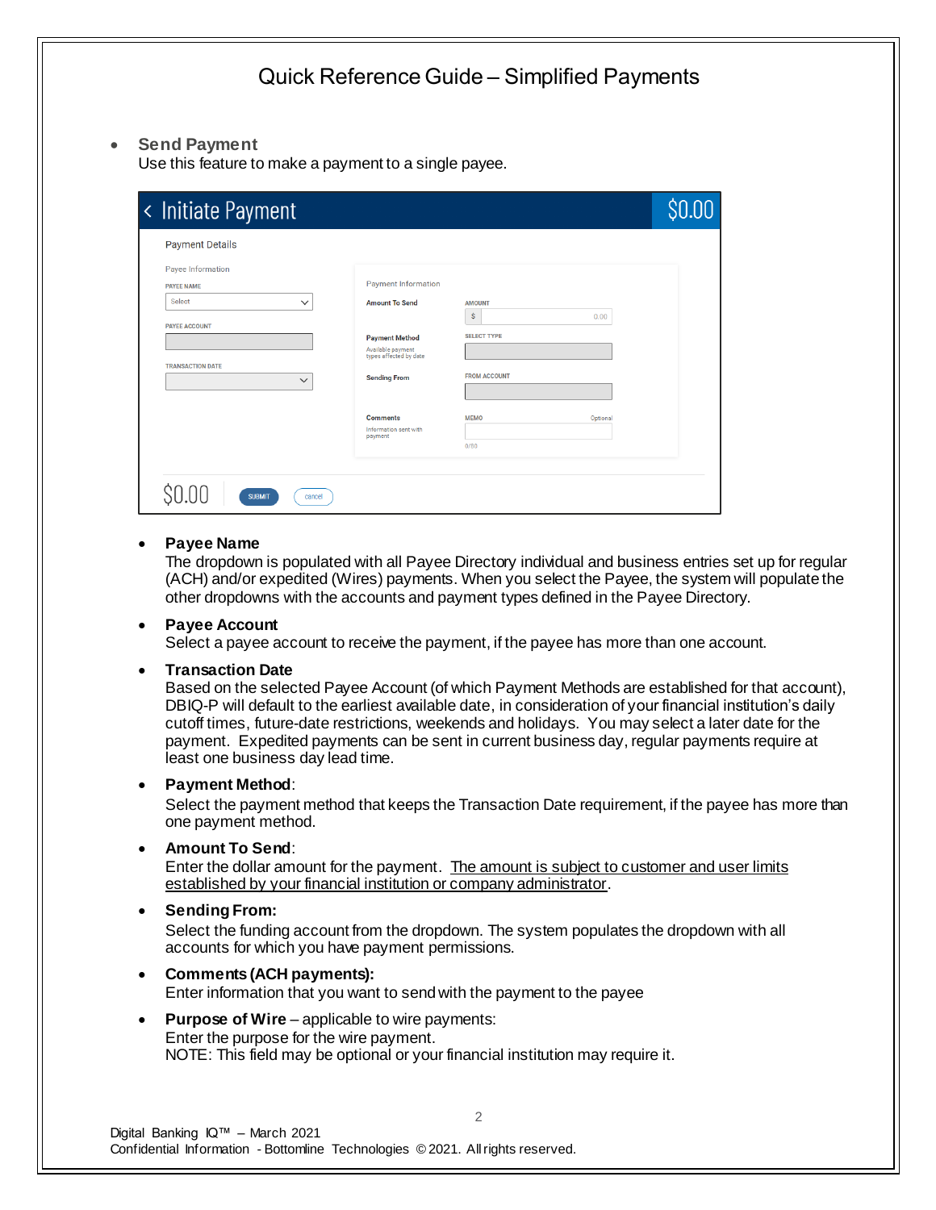### • **Send Payment**

Use this feature to make a payment to a single payee.

| < Initiate Payment      |                                             |                         | \$0.00 |
|-------------------------|---------------------------------------------|-------------------------|--------|
| <b>Payment Details</b>  |                                             |                         |        |
| Payee Information       |                                             |                         |        |
| <b>PAYEE NAME</b>       | <b>Payment Information</b>                  |                         |        |
| Select<br>$\checkmark$  | <b>Amount To Send</b>                       | <b>AMOUNT</b>           |        |
| <b>PAYEE ACCOUNT</b>    |                                             | Ŝ<br>0.00               |        |
|                         | <b>Payment Method</b>                       | <b>SELECT TYPE</b>      |        |
|                         | Available payment<br>types affected by date |                         |        |
| <b>TRANSACTION DATE</b> | <b>Sending From</b>                         | <b>FROM ACCOUNT</b>     |        |
| $\checkmark$            |                                             |                         |        |
|                         |                                             |                         |        |
|                         | <b>Comments</b>                             | <b>MEMO</b><br>Optional |        |
|                         | Information sent with<br>payment            |                         |        |
|                         |                                             | 0/80                    |        |
|                         |                                             |                         |        |
|                         |                                             |                         |        |
| <b>SUBMIT</b><br>cancel |                                             |                         |        |

#### • **Payee Name**

The dropdown is populated with all Payee Directory individual and business entries set up for regular (ACH) and/or expedited (Wires) payments. When you select the Payee, the system will populate the other dropdowns with the accounts and payment types defined in the Payee Directory.

#### • **Payee Account**

Select a payee account to receive the payment, if the payee has more than one account.

#### • **Transaction Date**

Based on the selected Payee Account (of which Payment Methods are established for that account), DBIQ-P will default to the earliest available date, in consideration of your financial institution's daily cutoff times, future-date restrictions, weekends and holidays. You may select a later date for the payment. Expedited payments can be sent in current business day, regular payments require at least one business day lead time.

#### • **Payment Method**:

Select the payment method that keeps the Transaction Date requirement, if the payee has more than one payment method.

#### • **Amount To Send**:

Enter the dollar amount for the payment. The amount is subject to customer and user limits established by your financial institution or company administrator.

#### • **Sending From:**

Select the funding account from the dropdown. The system populates the dropdown with all accounts for which you have payment permissions.

2

#### • **Comments (ACH payments):** Enter information that you want to sendwith the payment to the payee

**Purpose of Wire** – applicable to wire payments: Enter the purpose for the wire payment. NOTE: This field may be optional or your financial institution may require it.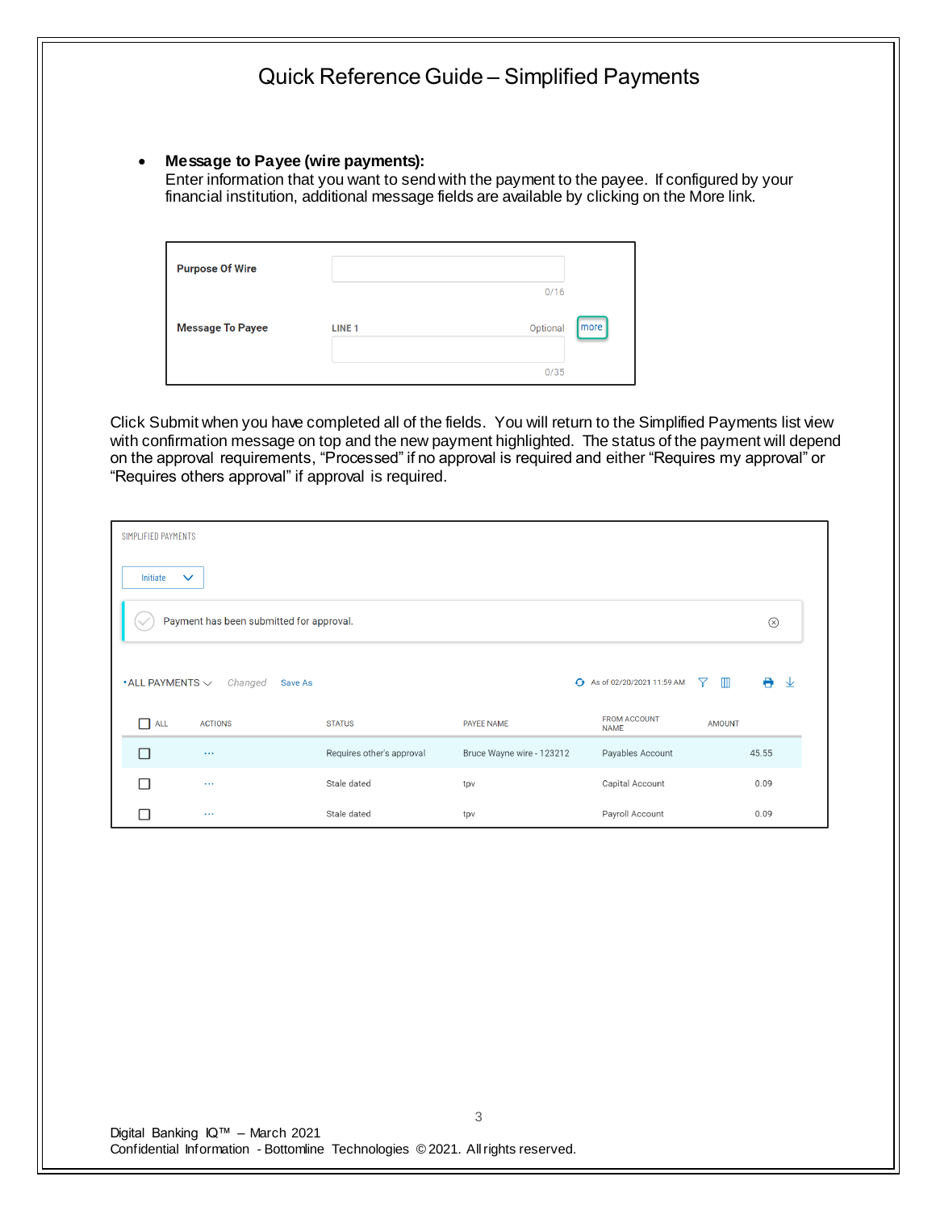• **Message to Payee (wire payments):** 

Enter information that you want to sendwith the payment to the payee. If configured by your financial institution, additional message fields are available by clicking on the More link.

| <b>Purpose Of Wire</b>  |               |                  |  |
|-------------------------|---------------|------------------|--|
|                         |               | 0/16             |  |
| <b>Message To Payee</b> | <b>LINE 1</b> | more<br>Optional |  |
|                         |               | 0/35             |  |

Click Submit when you have completed all of the fields. You will return to the Simplified Payments list view with confirmation message on top and the new payment highlighted. The status of the payment will depend on the approval requirements, "Processed" if no approval is required and either "Requires my approval" or "Requires others approval" if approval is required.

| SIMPLIFIED PAYMENTS                        |                           |                           |                           |                                    |                     |        |  |  |
|--------------------------------------------|---------------------------|---------------------------|---------------------------|------------------------------------|---------------------|--------|--|--|
| Initiate                                   | $\checkmark$              |                           |                           |                                    |                     |        |  |  |
| Payment has been submitted for approval.   |                           |                           |                           |                                    |                     |        |  |  |
| $\boldsymbol{\cdot}$ ALL PAYMENTS $\smile$ | Changed<br><b>Save As</b> |                           |                           | ← As of 02/20/2021 11:59 AM        | $\blacksquare$<br>Y | ₩<br>业 |  |  |
| ALL<br>П                                   | <b>ACTIONS</b>            | <b>STATUS</b>             | <b>PAYEE NAME</b>         | <b>FROM ACCOUNT</b><br><b>NAME</b> | <b>AMOUNT</b>       |        |  |  |
| П                                          | $\ldots$                  | Requires other's approval | Bruce Wayne wire - 123212 | Payables Account                   |                     | 45.55  |  |  |
| П                                          | $\sim$ $\sim$ $\sim$      | Stale dated               | tpv                       | Capital Account                    |                     | 0.09   |  |  |
| H.                                         | $\sim$ $\sim$ $\sim$      | Stale dated               | tpv                       | Payroll Account                    |                     | 0.09   |  |  |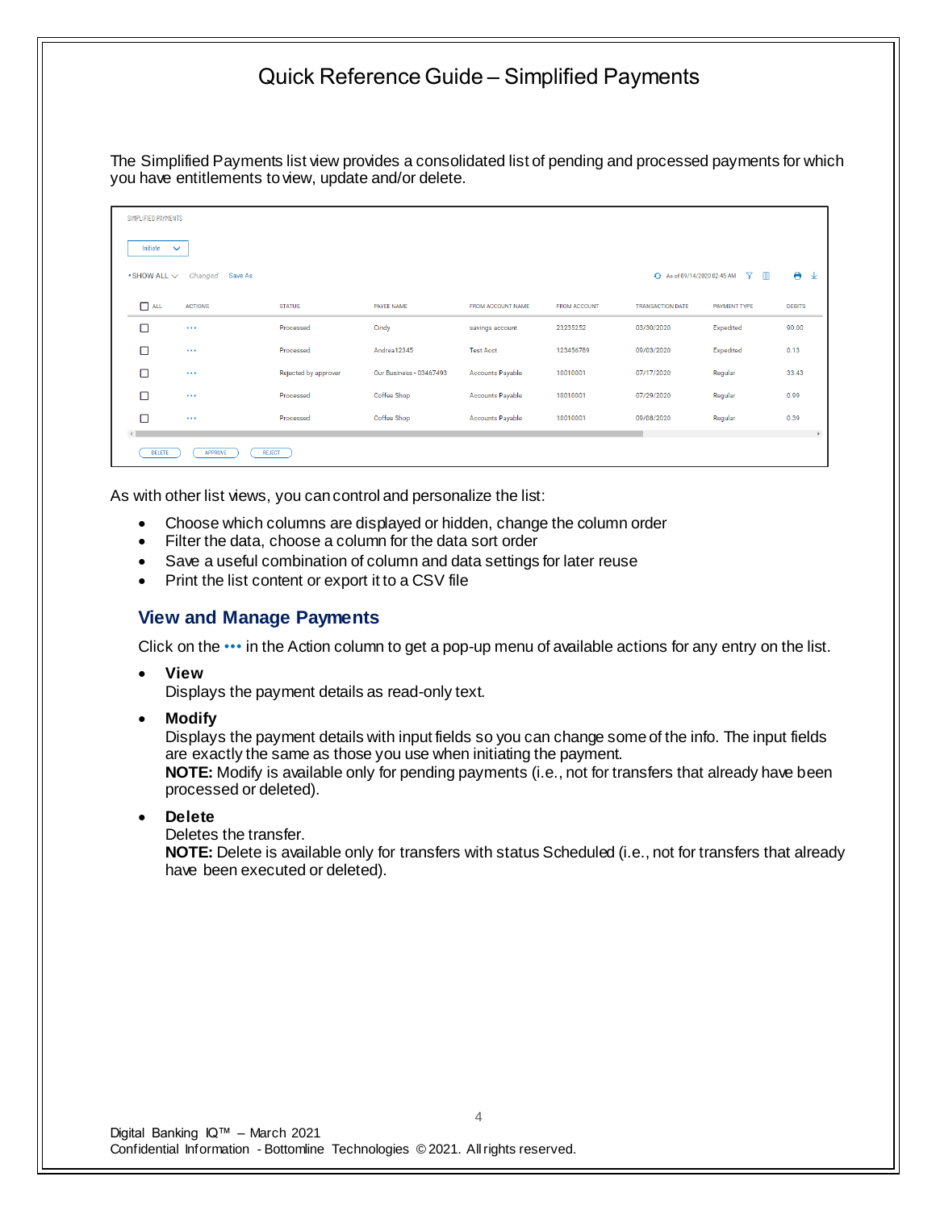The Simplified Payments list view provides a consolidated list of pending and processed payments for which you have entitlements to view, update and/or delete.

| SIMPLIFIED PAYMENTS         |                                          |                      |                         |                         |                     |                             |                            |               |  |
|-----------------------------|------------------------------------------|----------------------|-------------------------|-------------------------|---------------------|-----------------------------|----------------------------|---------------|--|
| Initiate                    | $\checkmark$                             |                      |                         |                         |                     |                             |                            |               |  |
| $\bullet$ SHOW ALL $\smile$ | Changed<br>Save As                       |                      |                         |                         |                     | + As of 09/14/2020 02:45 AM | <b>Y</b><br>$\blacksquare$ | e<br>玉        |  |
| $\Box$ ALL                  | <b>ACTIONS</b>                           | <b>STATUS</b>        | PAYEE NAME              | FROM ACCOUNT NAME       | <b>FROM ACCOUNT</b> | <b>TRANSACTION DATE</b>     | <b>PAYMENT TYPE</b>        | <b>DEBITS</b> |  |
| о                           | $\sim$ $\sim$                            | Processed            | Cindy                   | savings account         | 23235252            | 03/30/2020                  | Expedited                  | 90.00         |  |
| □                           | $\sim$ $\sim$ $\sim$                     | Processed            | Andrea12345             | <b>Test Acct</b>        | 123456789           | 09/03/2020                  | Expedited                  | 0.13          |  |
| о                           | $\sim$ $\sim$                            | Rejected by approver | Our Business - 03467493 | Accounts Payable        | 10010001            | 07/17/2020                  | Regular                    | 33.43         |  |
| о                           | $\sim$ $\sim$                            | Processed            | Coffee Shop             | <b>Accounts Payable</b> | 10010001            | 07/29/2020                  | Regular                    | 0.99          |  |
| п                           | $\sim$ $\sim$                            | Processed            | Coffee Shop             | <b>Accounts Payable</b> | 10010001            | 09/08/2020                  | Regular                    | 0.39          |  |
| <b>DELETE</b>               | $\mathbb{R}$<br>APPROVE<br><b>REJECT</b> |                      |                         |                         |                     |                             |                            |               |  |

As with other list views, you can control and personalize the list:

- Choose which columns are displayed or hidden, change the column order
- Filter the data, choose a column for the data sort order
- Save a useful combination of column and data settings for later reuse
- Print the list content or export it to a CSV file

### **View and Manage Payments**

Click on the ••• in the Action column to get a pop-up menu of available actions for any entry on the list.

• **View**

Displays the payment details as read-only text.

• **Modify**

Displays the payment details with input fields so you can change some of the info. The input fields are exactly the same as those you use when initiating the payment. **NOTE:** Modify is available only for pending payments (i.e., not for transfers that already have been processed or deleted).

• **Delete**

Deletes the transfer.

**NOTE:** Delete is available only for transfers with status Scheduled (i.e., not for transfers that already have been executed or deleted).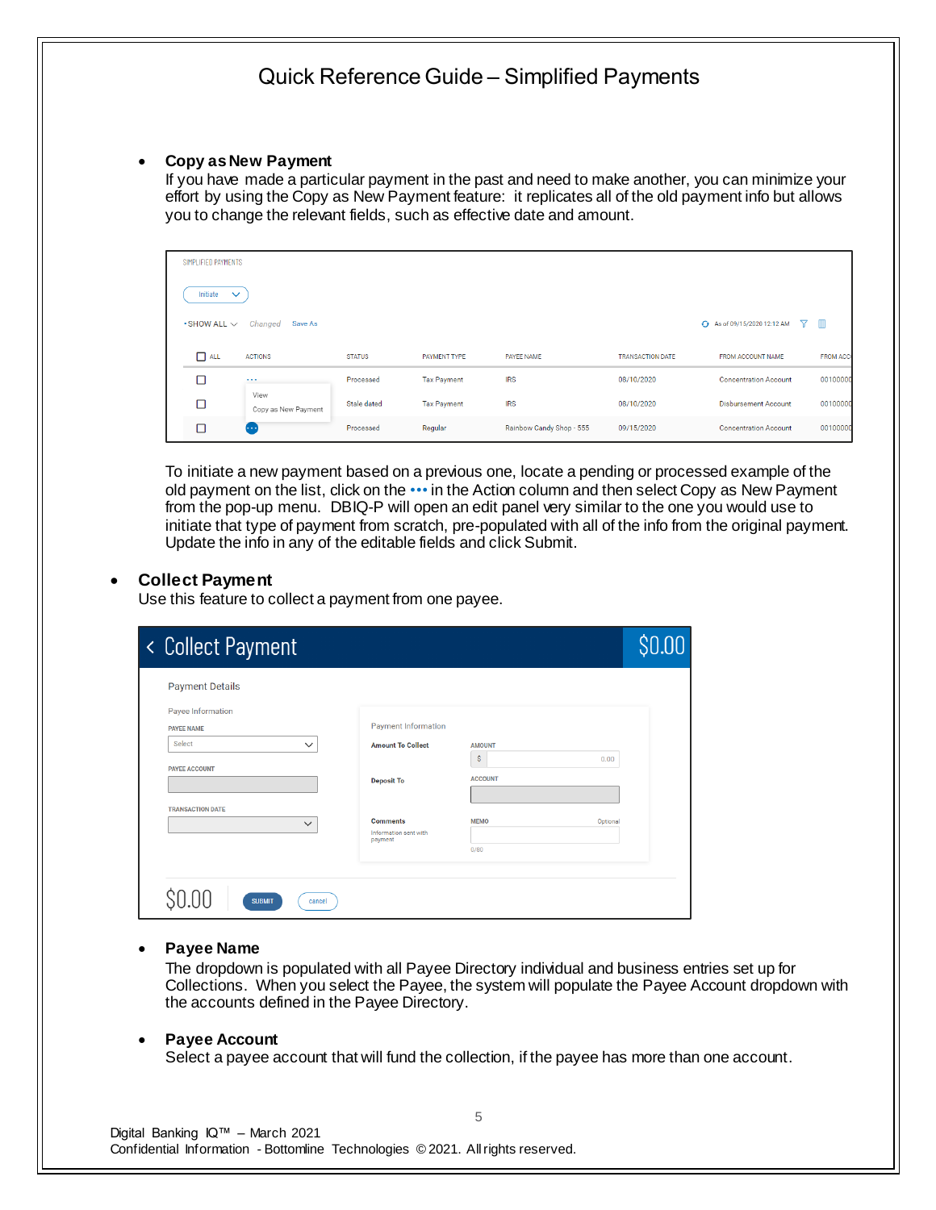#### • **Copy as New Payment**

If you have made a particular payment in the past and need to make another, you can minimize your effort by using the Copy as New Payment feature: it replicates all of the old payment info but allows you to change the relevant fields, such as effective date and amount.

| SIMPLIFIED PAYMENTS      |                             |               |                    |                          |                         |                                  |                  |
|--------------------------|-----------------------------|---------------|--------------------|--------------------------|-------------------------|----------------------------------|------------------|
| Initiate<br>$\checkmark$ |                             |               |                    |                          |                         |                                  |                  |
| $\cdot$ SHOW ALL $\vee$  | Changed<br>Save As          |               |                    |                          |                         | + As of 09/15/2020 12:12 AM<br>Y | m                |
| $\Box$ ALL               | <b>ACTIONS</b>              | <b>STATUS</b> | PAYMENT TYPE       | <b>PAYEE NAME</b>        | <b>TRANSACTION DATE</b> | FROM ACCOUNT NAME                | <b>FROM ACCO</b> |
| п                        | $\cdots$                    | Processed     | <b>Tax Payment</b> | <b>IRS</b>               | 08/10/2020              | <b>Concentration Account</b>     | 00100000         |
| □                        | View<br>Copy as New Payment | Stale dated   | <b>Tax Payment</b> | <b>IRS</b>               | 08/10/2020              | <b>Disbursement Account</b>      | 00100000         |
| п                        | <b>COD</b>                  | Processed     | Regular            | Rainbow Candy Shop - 555 | 09/15/2020              | <b>Concentration Account</b>     | 00100000         |

To initiate a new payment based on a previous one, locate a pending or processed example of the old payment on the list, click on the ••• in the Action column and then select Copy as New Payment from the pop-up menu. DBIQ-P will open an edit panel very similar to the one you would use to initiate that type of payment from scratch, pre-populated with all of the info from the original payment. Update the info in any of the editable fields and click Submit.

### • **Collect Payment**

Use this feature to collect a payment from one payee.

| < Collect Payment                              |                                                     |                     | \$0.00   |
|------------------------------------------------|-----------------------------------------------------|---------------------|----------|
| <b>Payment Details</b>                         |                                                     |                     |          |
| Payee Information<br><b>PAYEE NAME</b>         | <b>Payment Information</b>                          |                     |          |
| Select<br>$\checkmark$<br><b>PAYEE ACCOUNT</b> | <b>Amount To Collect</b>                            | <b>AMOUNT</b><br>\$ | 0.00     |
|                                                | <b>Deposit To</b>                                   | <b>ACCOUNT</b>      |          |
| <b>TRANSACTION DATE</b><br>$\checkmark$        | <b>Comments</b><br>Information sent with<br>payment | <b>MEMO</b><br>0/80 | Optional |
| <b>SUBMIT</b><br>cancel                        |                                                     |                     |          |

#### • **Payee Name**

The dropdown is populated with all Payee Directory individual and business entries set up for Collections. When you select the Payee, the system will populate the Payee Account dropdown with the accounts defined in the Payee Directory.

#### • **Payee Account**

Select a payee account that will fund the collection, if the payee has more than one account.

5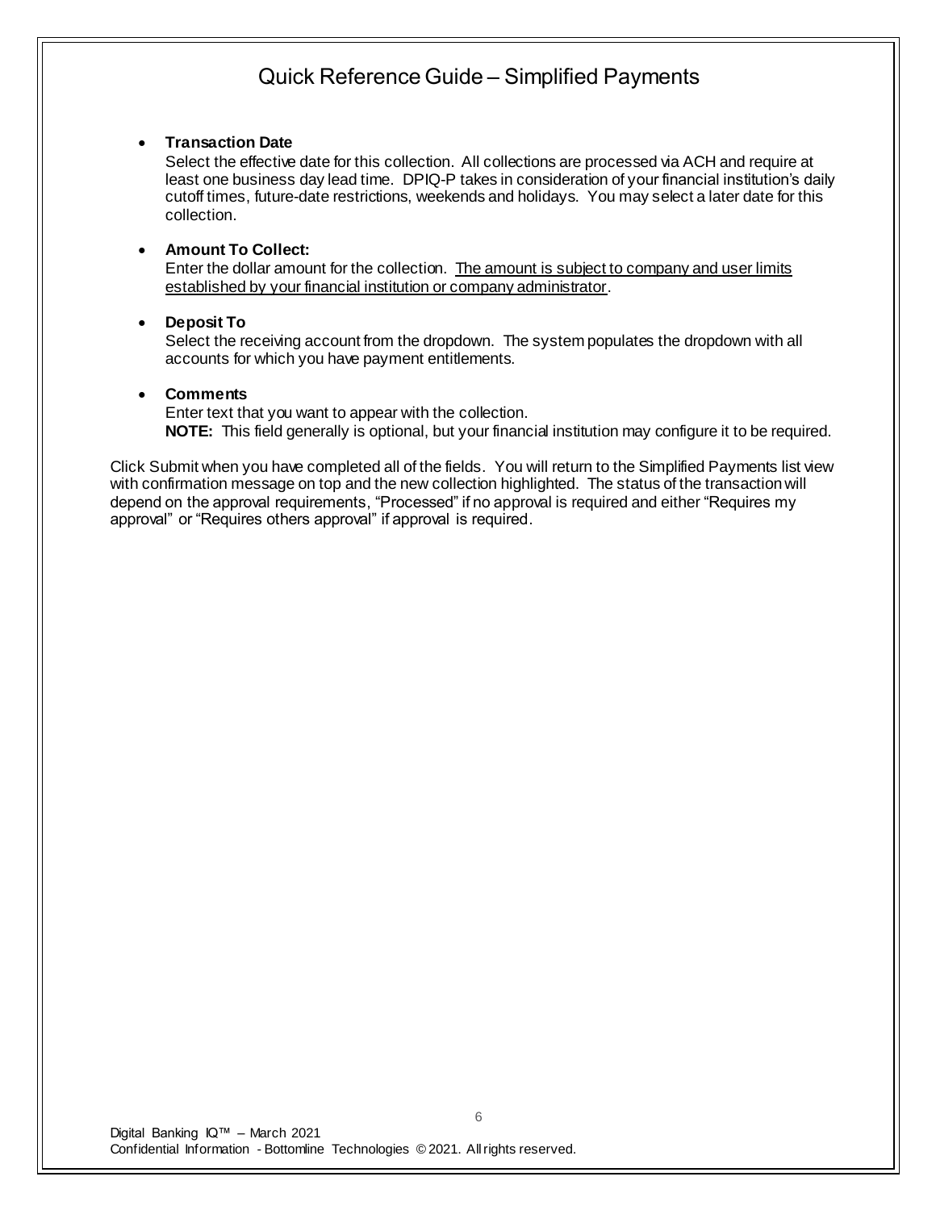### • **Transaction Date**

Select the effective date for this collection. All collections are processed via ACH and require at least one business day lead time. DPIQ-P takes in consideration of your financial institution's daily cutoff times, future-date restrictions, weekends and holidays. You may select a later date for this collection.

### • **Amount To Collect:**

Enter the dollar amount for the collection. The amount is subject to company and user limits established by your financial institution or company administrator.

### • **Deposit To**

Select the receiving account from the dropdown. The system populates the dropdown with all accounts for which you have payment entitlements.

#### • **Comments**

Enter text that you want to appear with the collection. **NOTE:** This field generally is optional, but your financial institution may configure it to be required.

Click Submit when you have completed all of the fields. You will return to the Simplified Payments list view with confirmation message on top and the new collection highlighted. The status of the transaction will depend on the approval requirements, "Processed" if no approval is required and either "Requires my approval" or "Requires others approval" if approval is required.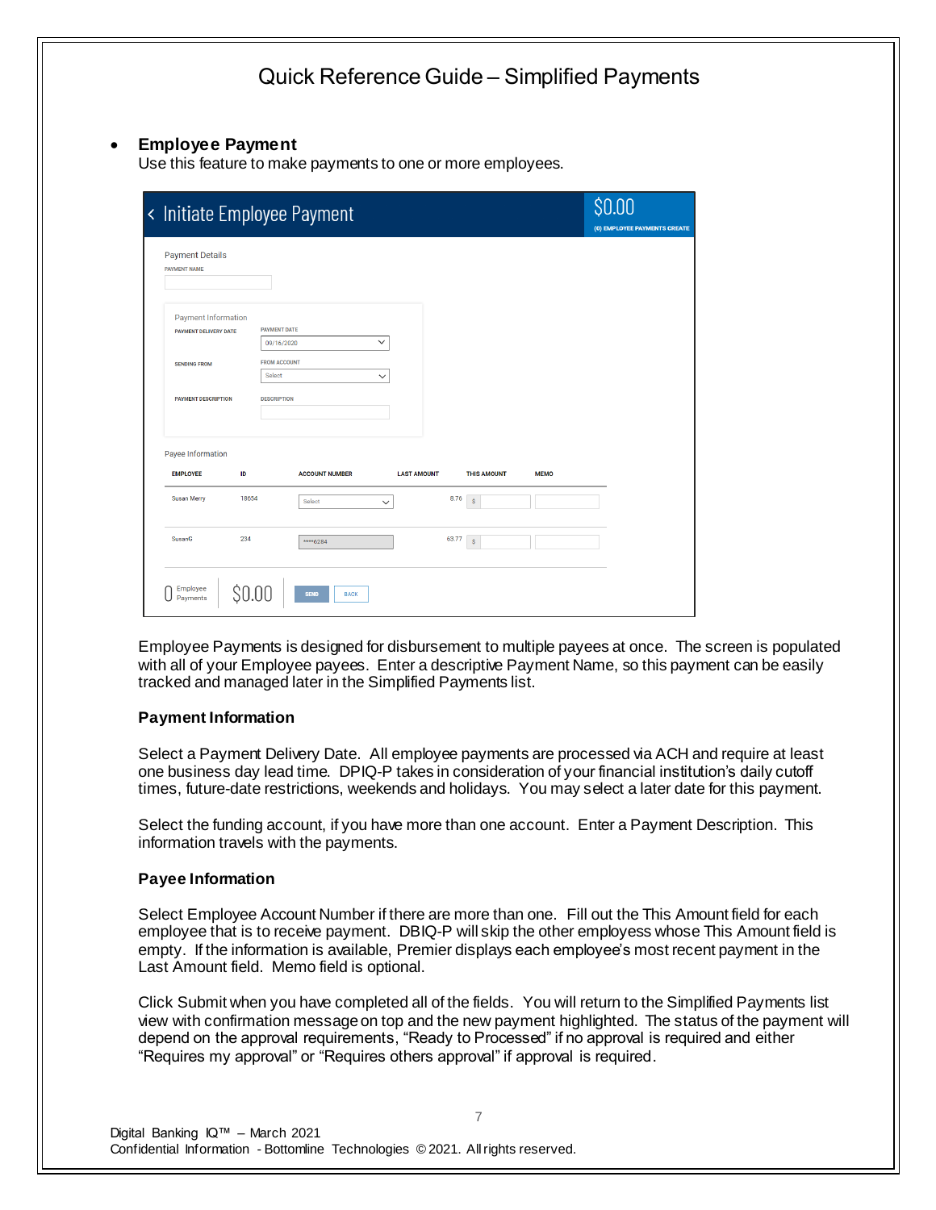### • **Employee Payment**

Use this feature to make payments to one or more employees.

|                                                            |       | < Initiate Employee Payment          |                    |       |                    |             | <b>SO nn</b><br>(0) EMPLOYEE PAYMENTS CREATE |  |
|------------------------------------------------------------|-------|--------------------------------------|--------------------|-------|--------------------|-------------|----------------------------------------------|--|
| <b>Payment Details</b><br><b>PAYMENT NAME</b>              |       |                                      |                    |       |                    |             |                                              |  |
| <b>Payment Information</b><br><b>PAYMENT DELIVERY DATE</b> |       | <b>PAYMENT DATE</b><br>09/16/2020    | $\checkmark$       |       |                    |             |                                              |  |
| <b>SENDING FROM</b>                                        |       | <b>FROM ACCOUNT</b><br><b>Select</b> | $\checkmark$       |       |                    |             |                                              |  |
| <b>PAYMENT DESCRIPTION</b>                                 |       | <b>DESCRIPTION</b>                   |                    |       |                    |             |                                              |  |
| Payee Information<br><b>EMPLOYEE</b>                       | ID    | <b>ACCOUNT NUMBER</b>                | <b>LAST AMOUNT</b> |       | <b>THIS AMOUNT</b> | <b>MEMO</b> |                                              |  |
| Susan Merry                                                | 18654 | Select                               | $\checkmark$       | 8.76  | $\dot{\mathbf{S}}$ |             |                                              |  |
| SusanG                                                     | 234   | ****6284                             |                    | 63.77 | $\mathsf S$        |             |                                              |  |
| Employee<br>Payments                                       | ŞO    | <b>SEND</b><br><b>BACK</b>           |                    |       |                    |             |                                              |  |

Employee Payments is designed for disbursement to multiple payees at once. The screen is populated with all of your Employee payees. Enter a descriptive Payment Name, so this payment can be easily tracked and managed later in the Simplified Payments list.

#### **Payment Information**

Select a Payment Delivery Date. All employee payments are processed via ACH and require at least one business day lead time. DPIQ-P takes in consideration of your financial institution's daily cutoff times, future-date restrictions, weekends and holidays. You may select a later date for this payment.

Select the funding account, if you have more than one account. Enter a Payment Description. This information travels with the payments.

#### **Payee Information**

Select Employee Account Number if there are more than one. Fill out the This Amount field for each employee that is to receive payment. DBIQ-P will skip the other employess whose This Amount field is empty. If the information is available, Premier displays each employee's most recent payment in the Last Amount field. Memo field is optional.

Click Submit when you have completed all of the fields. You will return to the Simplified Payments list view with confirmation message on top and the new payment highlighted. The status of the payment will depend on the approval requirements, "Ready to Processed" if no approval is required and either "Requires my approval" or "Requires others approval" if approval is required.

7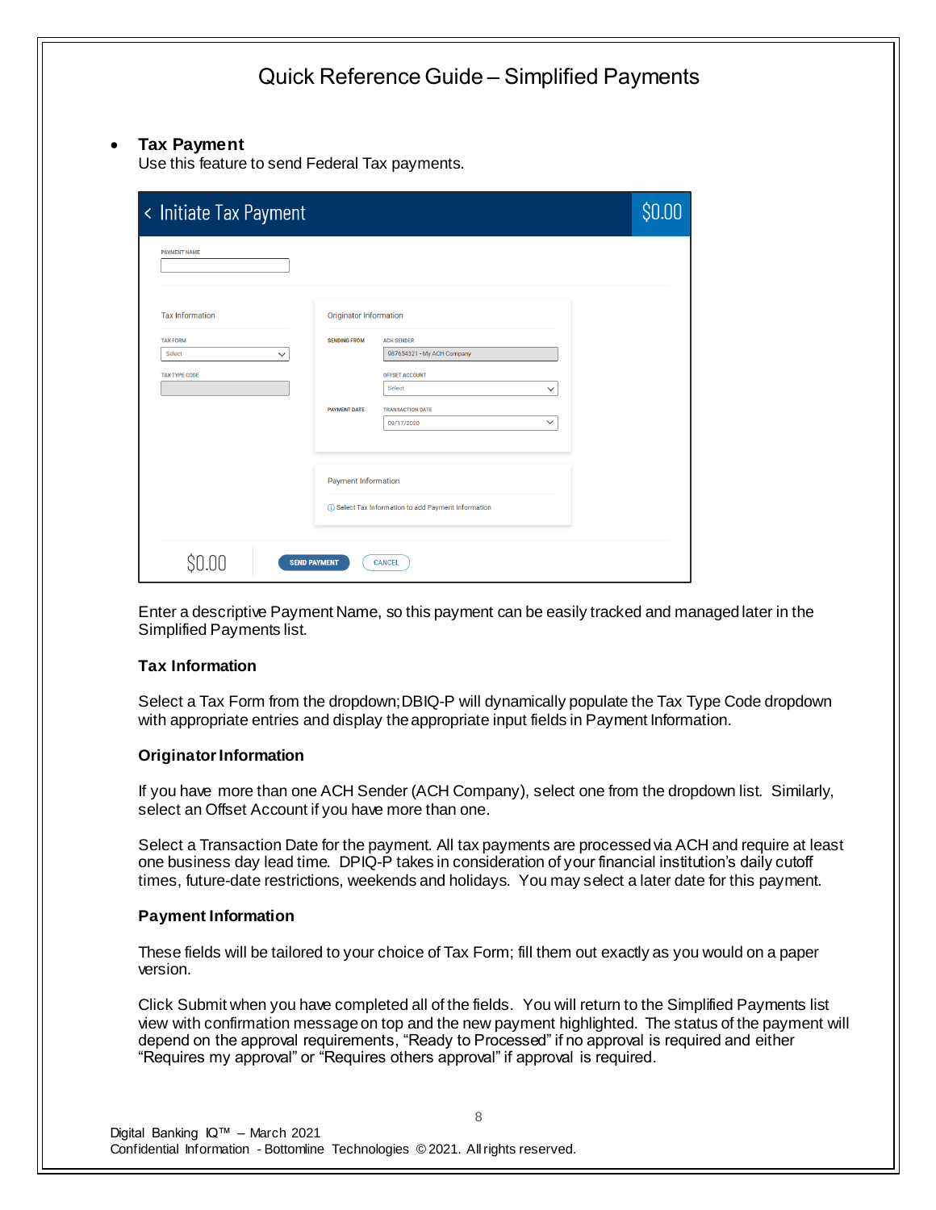### • **Tax Payment**

Use this feature to send Federal Tax payments.

| < Initiate Tax Payment |                            |                                                       |              | \$0.00 |
|------------------------|----------------------------|-------------------------------------------------------|--------------|--------|
| <b>PAYMENT NAME</b>    |                            |                                                       |              |        |
| <b>Tax Information</b> | Originator Information     |                                                       |              |        |
| <b>TAX FORM</b>        | <b>SENDING FROM</b>        | <b>ACH SENDER</b>                                     |              |        |
| Select<br>$\checkmark$ |                            | 987654321 - My ACH Company                            |              |        |
| <b>TAX TYPE CODE</b>   |                            | OFFSET ACCOUNT                                        |              |        |
|                        |                            | <b>Select</b>                                         | $\checkmark$ |        |
|                        | <b>PAYMENT DATE</b>        | <b>TRANSACTION DATE</b>                               |              |        |
|                        |                            | 09/17/2020                                            | $\checkmark$ |        |
|                        |                            |                                                       |              |        |
|                        | <b>Payment Information</b> |                                                       |              |        |
|                        |                            | (i) Select Tax Information to add Payment Information |              |        |
|                        |                            |                                                       |              |        |
| <b>SEND PAYMENT</b>    |                            | <b>CANCEL</b>                                         |              |        |

Enter a descriptive Payment Name, so this payment can be easily tracked and managed later in the Simplified Payments list.

#### **Tax Information**

Select a Tax Form from the dropdown; DBIQ-P will dynamically populate the Tax Type Code dropdown with appropriate entries and display the appropriate input fields in Payment Information.

#### **Originator Information**

If you have more than one ACH Sender (ACH Company), select one from the dropdown list. Similarly, select an Offset Account if you have more than one.

Select a Transaction Date for the payment. All tax payments are processed via ACH and require at least one business day lead time. DPIQ-P takes in consideration of your financial institution's daily cutoff times, future-date restrictions, weekends and holidays. You may select a later date for this payment.

#### **Payment Information**

These fields will be tailored to your choice of Tax Form; fill them out exactly as you would on a paper version.

Click Submit when you have completed all of the fields. You will return to the Simplified Payments list view with confirmation message on top and the new payment highlighted. The status of the payment will depend on the approval requirements, "Ready to Processed" if no approval is required and either "Requires my approval" or "Requires others approval" if approval is required.

8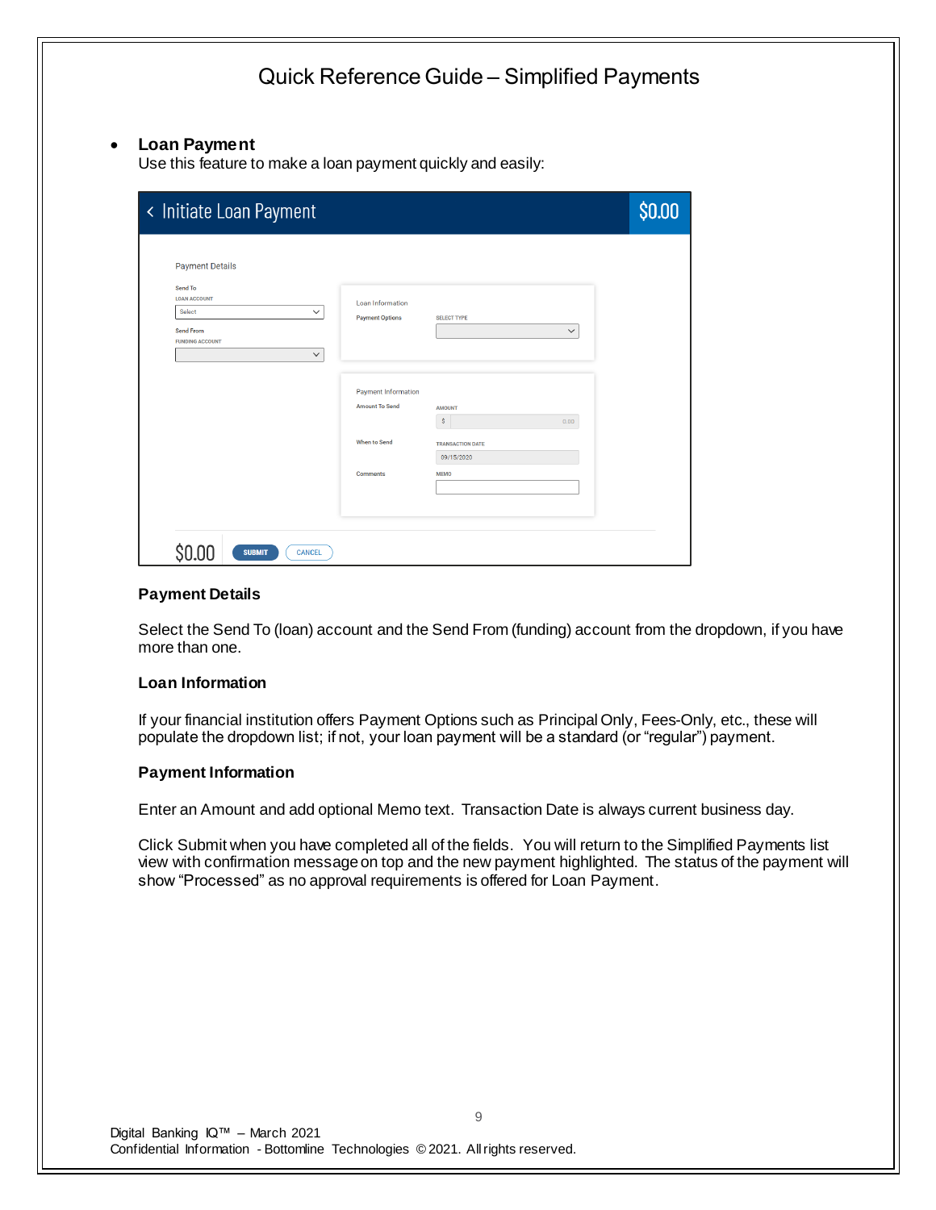### Quick Reference Guide – Simplified Payments • **Loan Payment** Use this feature to make a loan payment quickly and easily: < Initiate Loan Payment \$0.00 **Payment Details** Send To **LOAN ACCOUNT** Loan Information Select  $\checkmark$ **Payment Options SELECT TYPE** Send From  $\overline{\mathbf{v}}$ **UNDING ACCOUNT**  $\checkmark$ Payment Information Amount To Send **AMOUNT**  $S$ When to Send **TRANSACTION DATE**  $09/15/2020$ **Comments**  $$0.00$ **SUBMIT** CANCEL

### **Payment Details**

Select the Send To (loan) account and the Send From (funding) account from the dropdown, if you have more than one.

#### **Loan Information**

If your financial institution offers Payment Options such as Principal Only, Fees-Only, etc., these will populate the dropdown list; if not, your loan payment will be a standard (or "regular") payment.

#### **Payment Information**

Enter an Amount and add optional Memo text. Transaction Date is always current business day.

Click Submit when you have completed all of the fields. You will return to the Simplified Payments list view with confirmation message on top and the new payment highlighted. The status of the payment will show "Processed" as no approval requirements is offered for Loan Payment.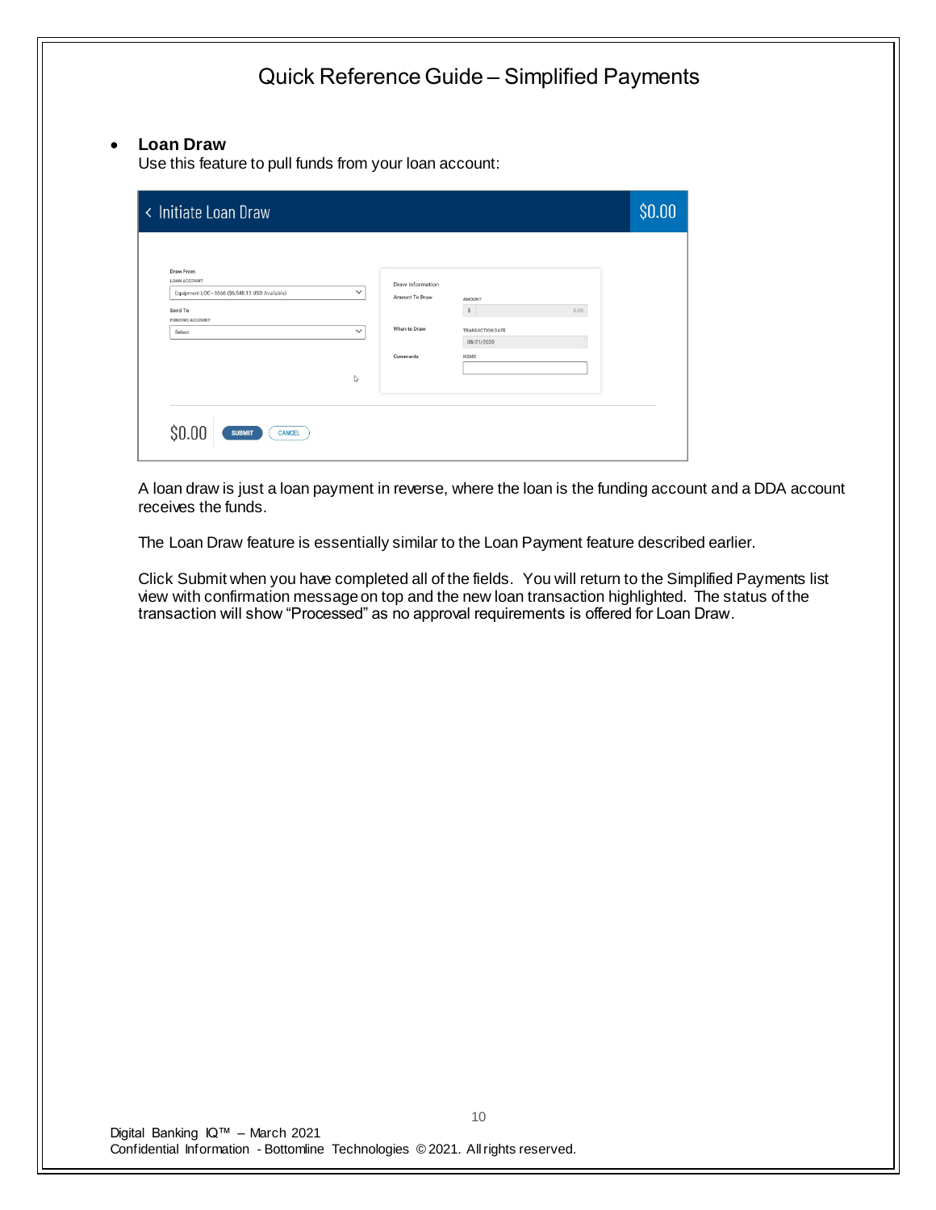## • **Loan Draw**

Use this feature to pull funds from your loan account:

| <b>Draw From</b><br>LOAN ACCOUNT<br>Equipment LOC - 6666 (\$6,548.13 USD Available)<br>Send To | $\check{~}$<br>Amount To Draw | Draw Information<br><b>AMOUNT</b><br>$\mathbb{S}$<br>0.00 |  |
|------------------------------------------------------------------------------------------------|-------------------------------|-----------------------------------------------------------|--|
| <b>FUNDING ACCOUNT</b><br>Select                                                               | When to Draw<br>$\checkmark$  | TRANSACTION DATE<br>08/21/2020                            |  |
|                                                                                                | Comments<br>↳                 | MEMO                                                      |  |
| \$0.00                                                                                         |                               |                                                           |  |

A loan draw is just a loan payment in reverse, where the loan is the funding account and a DDA account receives the funds.

The Loan Draw feature is essentially similar to the Loan Payment feature described earlier.

Click Submit when you have completed all of the fields. You will return to the Simplified Payments list view with confirmation message on top and the new loan transaction highlighted. The status of the transaction will show "Processed" as no approval requirements is offered for Loan Draw.